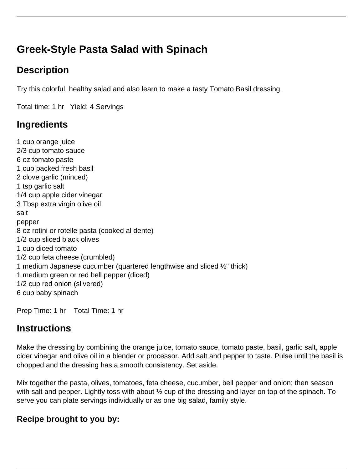# **Greek-Style Pasta Salad with Spinach**

## **Description**

Try this colorful, healthy salad and also learn to make a tasty Tomato Basil dressing.

Total time: 1 hr Yield: 4 Servings

### **Ingredients**

1 cup orange juice 2/3 cup tomato sauce 6 oz tomato paste 1 cup packed fresh basil 2 clove garlic (minced) 1 tsp garlic salt 1/4 cup apple cider vinegar 3 Tbsp extra virgin olive oil salt pepper 8 oz rotini or rotelle pasta (cooked al dente) 1/2 cup sliced black olives 1 cup diced tomato 1/2 cup feta cheese (crumbled) 1 medium Japanese cucumber (quartered lengthwise and sliced ½" thick) 1 medium green or red bell pepper (diced) 1/2 cup red onion (slivered) 6 cup baby spinach

Prep Time: 1 hr Total Time: 1 hr

### **Instructions**

Make the dressing by combining the orange juice, tomato sauce, tomato paste, basil, garlic salt, apple cider vinegar and olive oil in a blender or processor. Add salt and pepper to taste. Pulse until the basil is chopped and the dressing has a smooth consistency. Set aside.

Mix together the pasta, olives, tomatoes, feta cheese, cucumber, bell pepper and onion; then season with salt and pepper. Lightly toss with about ½ cup of the dressing and layer on top of the spinach. To serve you can plate servings individually or as one big salad, family style.

#### **Recipe brought to you by:**